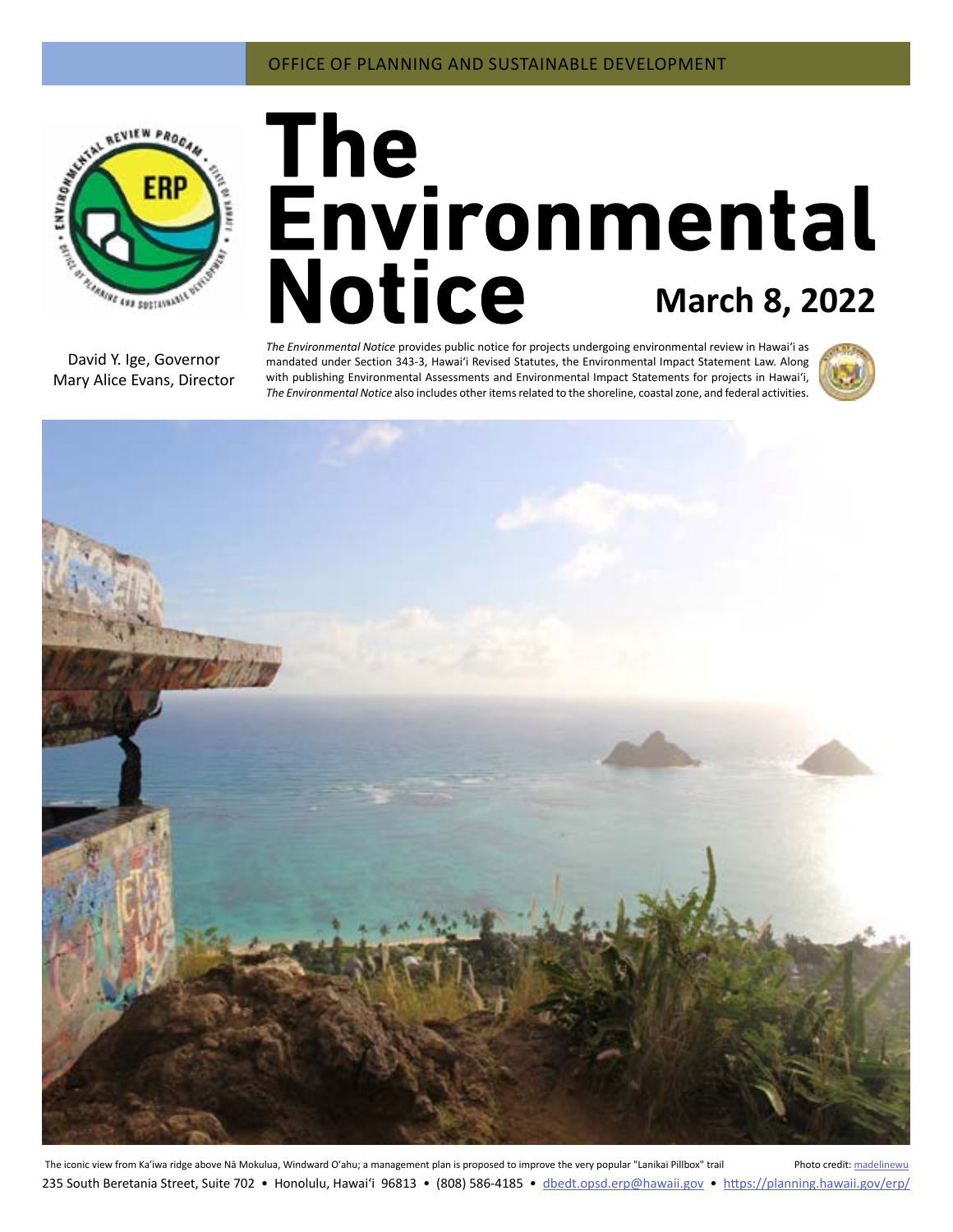

# **March 8, 2022**

David Y. Ige, Governor Mary Alice Evans, Director

*The Environmental Notice* provides public notice for projects undergoing environmental review in Hawaiʻi as mandated under Section 343-3, Hawaiʻi Revised Statutes, the Environmental Impact Statement Law. Along with publishing Environmental Assessments and Environmental Impact Statements for projects in Hawai'i, *The Environmental Notice* also includes other items related to the shoreline, coastal zone, and federal activities.





The iconic view from Ka'iwa ridge above Nā Mokulua, Windward O'ahu; a management plan is proposed to improve the very popular "Lanikai Pillbox" trail Photo credit: [madelinewu](https://www.flickr.com/photos/maddie_w/17103951802/in/photolist-s4qdYJ-FeAjoH-TiyA4P-SUZzHA-MRtBY1-TrpxYG-RfaB57-H81Bgr-Tiynkn-H1Ya6B-SUZAjf-hsGo5b-H823rM-GGQANb-GGQytw-H559eb-SUZE7W-NkFuhD-29kqbZ5-8Ac8qM-Sdu5LQ-29kqcyG-2aH5u7B-29kqdzQ-9AQqyW-2aZUAJS-2aH5tJx-21dWkGr-29kqd51-SUZwss-9AMrWc-Tiyoer-SdtTNN-TiyxW2-9AQjEo-9AK2sT-29kqdos-9AQsdC-8wd5zZ-SUZBX5-Tgc2t3-29kqcTE-9AMvXB-Sg9KsZ-TrqaWJ-9AQpu7-9AMVdN-TrqcJ1-SUZBko-2aZUBaS) 235 South Beretania Street, Suite 702 • Honolulu, Hawai'i 96813 • (808) 586-4185 • dbedt.opsd.erp[@hawaii.gov](mailto:dbedt.opsd.erp%40hawaii.gov?subject=) • <https://planning.hawaii.gov/erp/>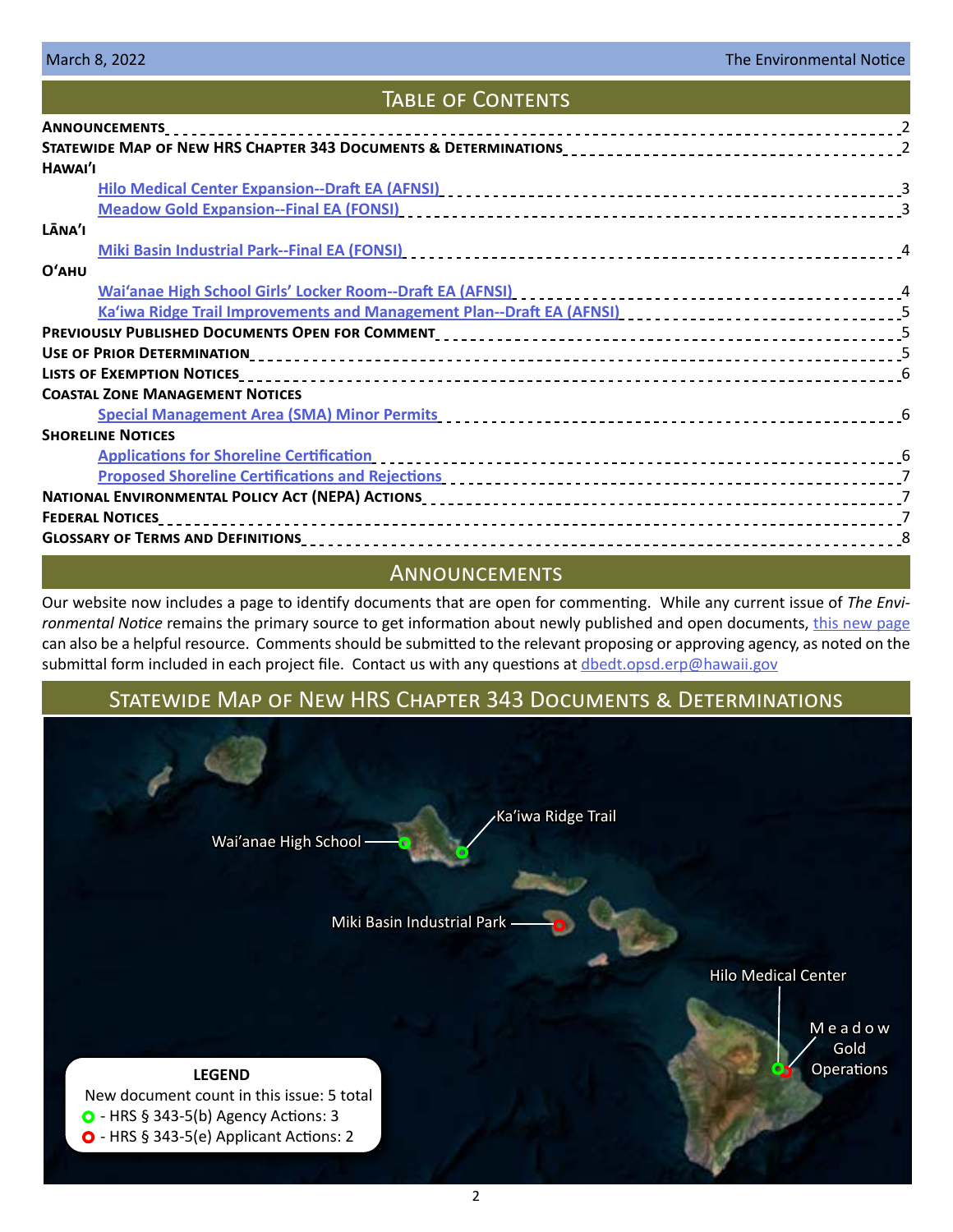# Table of Contents

| STATEWIDE MAP OF NEW HRS CHAPTER 343 DOCUMENTS & DETERMINATIONS<br>2                                                                                                                                                           |  |
|--------------------------------------------------------------------------------------------------------------------------------------------------------------------------------------------------------------------------------|--|
| HAWAI'I                                                                                                                                                                                                                        |  |
|                                                                                                                                                                                                                                |  |
|                                                                                                                                                                                                                                |  |
| LĀNA'I                                                                                                                                                                                                                         |  |
|                                                                                                                                                                                                                                |  |
| $O'$ AHU                                                                                                                                                                                                                       |  |
|                                                                                                                                                                                                                                |  |
|                                                                                                                                                                                                                                |  |
|                                                                                                                                                                                                                                |  |
|                                                                                                                                                                                                                                |  |
|                                                                                                                                                                                                                                |  |
| <b>COASTAL ZONE MANAGEMENT NOTICES</b>                                                                                                                                                                                         |  |
| Special Management Area (SMA) Minor Permits [10] productional contract to the set of the Special Management Area (SMA) Minor Permits [10] productional contract of the Special Contract of the Special Contract of the Special |  |
| <b>SHORELINE NOTICES</b>                                                                                                                                                                                                       |  |
| Applications for Shoreline Certification entitled and the control of the state of the state of the state of th                                                                                                                 |  |
| Proposed Shoreline Certifications and Rejections entertainment control of the control of the control of the co                                                                                                                 |  |
|                                                                                                                                                                                                                                |  |
|                                                                                                                                                                                                                                |  |
|                                                                                                                                                                                                                                |  |

# Announcements

Our website now includes a page to identify documents that are open for commenting. While any current issue of *The Environmental Notice* remains the primary source to get information about newly published and open documents, [this new page](https://planning.hawaii.gov/erp/comments/) can also be a helpful resource. Comments should be submitted to the relevant proposing or approving agency, as noted on the submittal form included in each project file. Contact us with any questions at [dbedt.opsd.erp@hawaii.gov](mailto:dbedt.opsd.erp%40hawaii.gov?subject=)

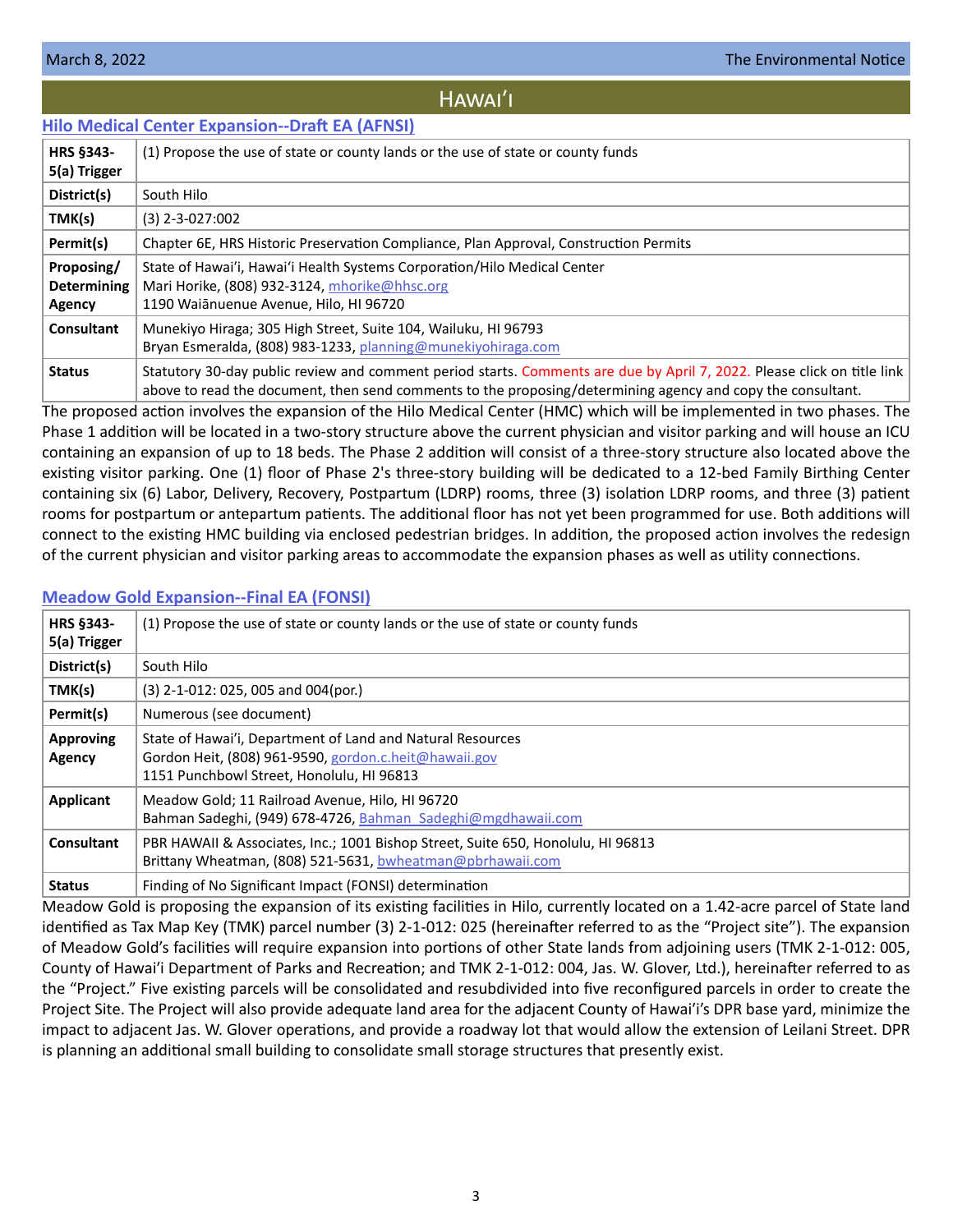# HAWAI'I

# <span id="page-2-0"></span>**[Hilo Medical Center Expansion--Draft EA \(AFNSI\)](https://files.hawaii.gov/dbedt/erp/Doc_Library/2022-03-08-HA-DEA-Hilo-Medical-Center-Expansion.pdf)**

| <b>HRS §343-</b><br>5(a) Trigger           | (1) Propose the use of state or county lands or the use of state or county funds                                                                                                                                                       |
|--------------------------------------------|----------------------------------------------------------------------------------------------------------------------------------------------------------------------------------------------------------------------------------------|
| District(s)                                | South Hilo                                                                                                                                                                                                                             |
| TMK(s)                                     | $(3)$ 2-3-027:002                                                                                                                                                                                                                      |
| Permit(s)                                  | Chapter 6E, HRS Historic Preservation Compliance, Plan Approval, Construction Permits                                                                                                                                                  |
| Proposing/<br><b>Determining</b><br>Agency | State of Hawai'i, Hawai'i Health Systems Corporation/Hilo Medical Center<br>Mari Horike, (808) 932-3124, mhorike@hhsc.org<br>1190 Waiānuenue Avenue, Hilo, HI 96720                                                                    |
| <b>Consultant</b>                          | Munekiyo Hiraga; 305 High Street, Suite 104, Wailuku, HI 96793<br>Bryan Esmeralda, (808) 983-1233, planning@munekiyohiraga.com                                                                                                         |
| <b>Status</b>                              | Statutory 30-day public review and comment period starts. Comments are due by April 7, 2022. Please click on title link<br>above to read the document, then send comments to the proposing/determining agency and copy the consultant. |

The proposed action involves the expansion of the Hilo Medical Center (HMC) which will be implemented in two phases. The Phase 1 addition will be located in a two-story structure above the current physician and visitor parking and will house an ICU containing an expansion of up to 18 beds. The Phase 2 addition will consist of a three-story structure also located above the existing visitor parking. One (1) floor of Phase 2's three-story building will be dedicated to a 12-bed Family Birthing Center containing six (6) Labor, Delivery, Recovery, Postpartum (LDRP) rooms, three (3) isolation LDRP rooms, and three (3) patient rooms for postpartum or antepartum patients. The additional floor has not yet been programmed for use. Both additions will connect to the existing HMC building via enclosed pedestrian bridges. In addition, the proposed action involves the redesign of the current physician and visitor parking areas to accommodate the expansion phases as well as utility connections.

# **[Meadow Gold Expansion--Final EA \(FONSI\)](https://files.hawaii.gov/dbedt/erp/Doc_Library/2022-03-08-HA-FEA-Meadow-Gold-Expansion.pdf)**

| <b>HRS §343-</b><br>5(a) Trigger | (1) Propose the use of state or county lands or the use of state or county funds                                                                                 |
|----------------------------------|------------------------------------------------------------------------------------------------------------------------------------------------------------------|
| District(s)                      | South Hilo                                                                                                                                                       |
| TMK(s)                           | (3) 2-1-012: 025, 005 and 004(por.)                                                                                                                              |
| Permit(s)                        | Numerous (see document)                                                                                                                                          |
| <b>Approving</b><br>Agency       | State of Hawai'i, Department of Land and Natural Resources<br>Gordon Heit, (808) 961-9590, gordon.c.heit@hawaii.gov<br>1151 Punchbowl Street, Honolulu, HI 96813 |
| <b>Applicant</b>                 | Meadow Gold; 11 Railroad Avenue, Hilo, HI 96720<br>Bahman Sadeghi, (949) 678-4726, Bahman Sadeghi@mgdhawaii.com                                                  |
| <b>Consultant</b>                | PBR HAWAII & Associates, Inc.; 1001 Bishop Street, Suite 650, Honolulu, HI 96813<br>Brittany Wheatman, $(808)$ 521-5631, bwheatman@pbrhawaii.com                 |
| <b>Status</b>                    | Finding of No Significant Impact (FONSI) determination                                                                                                           |

Meadow Gold is proposing the expansion of its existing facilities in Hilo, currently located on a 1.42-acre parcel of State land identified as Tax Map Key (TMK) parcel number (3) 2-1-012: 025 (hereinafter referred to as the "Project site"). The expansion of Meadow Gold's facilities will require expansion into portions of other State lands from adjoining users (TMK 2-1-012: 005, County of Hawai'i Department of Parks and Recreation; and TMK 2-1-012: 004, Jas. W. Glover, Ltd.), hereinafter referred to as the "Project." Five existing parcels will be consolidated and resubdivided into five reconfigured parcels in order to create the Project Site. The Project will also provide adequate land area for the adjacent County of Hawai'i's DPR base yard, minimize the impact to adjacent Jas. W. Glover operations, and provide a roadway lot that would allow the extension of Leilani Street. DPR is planning an additional small building to consolidate small storage structures that presently exist.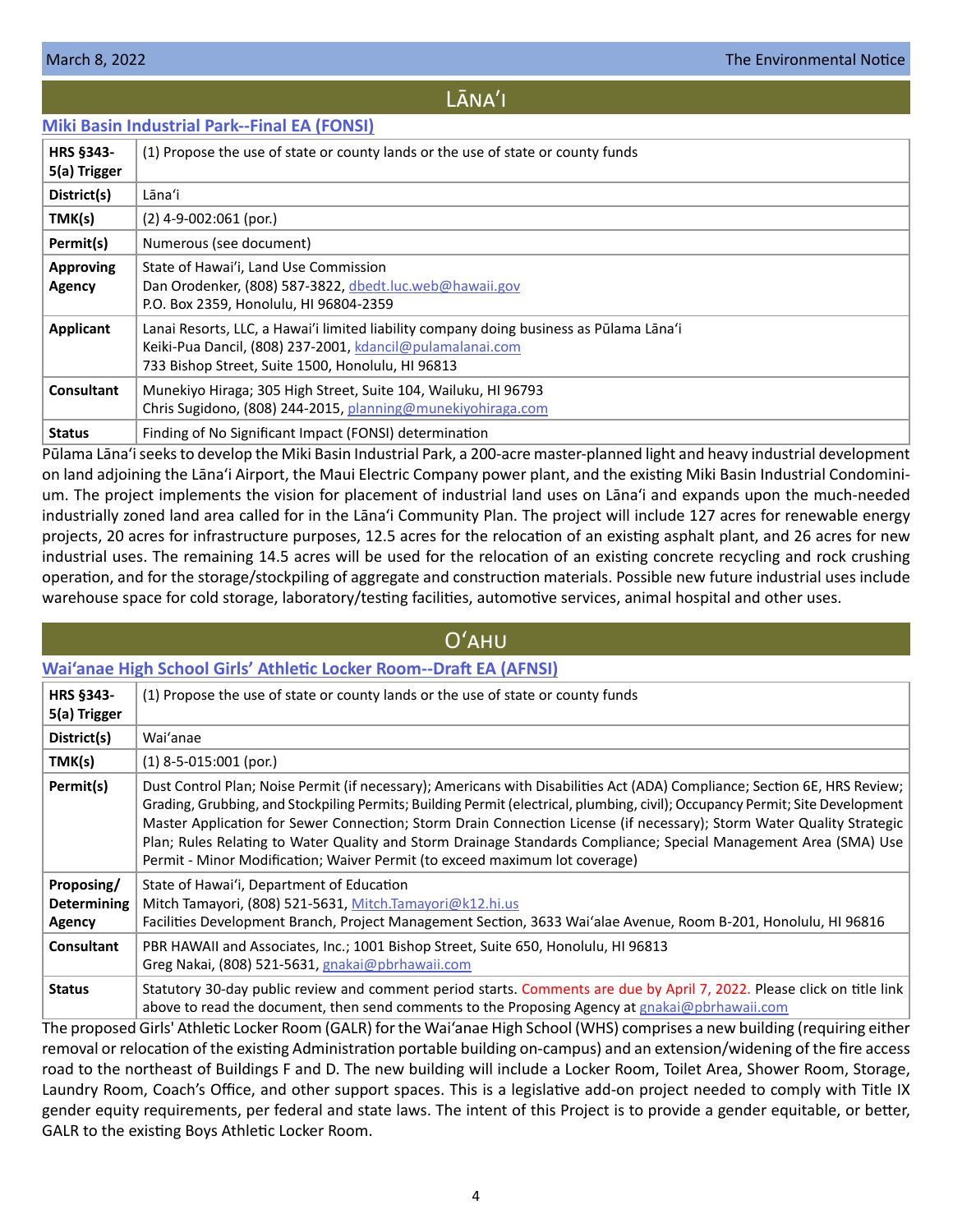# LĀNA'I

# <span id="page-3-0"></span>**[Miki Basin Industrial Park--Final EA \(FONSI\)](https://files.hawaii.gov/dbedt/erp/Doc_Library/2022-03-08-LA-FEA-Miki-Basin-Industrial-Park.pdf)**

| <b>HRS §343-</b><br>5(a) Trigger | (1) Propose the use of state or county lands or the use of state or county funds                                                                                                                          |
|----------------------------------|-----------------------------------------------------------------------------------------------------------------------------------------------------------------------------------------------------------|
| District(s)                      | Lāna'i                                                                                                                                                                                                    |
| TMK(s)                           | $(2)$ 4-9-002:061 (por.)                                                                                                                                                                                  |
| Permit(s)                        | Numerous (see document)                                                                                                                                                                                   |
| <b>Approving</b><br>Agency       | State of Hawai'i, Land Use Commission<br>Dan Orodenker, (808) 587-3822, dbedt.luc.web@hawaii.gov<br>P.O. Box 2359, Honolulu, HI 96804-2359                                                                |
| Applicant                        | Lanai Resorts, LLC, a Hawai'i limited liability company doing business as Pūlama Lāna'i<br>Keiki-Pua Dancil, (808) 237-2001, kdancil@pulamalanai.com<br>733 Bishop Street, Suite 1500, Honolulu, HI 96813 |
| Consultant                       | Munekiyo Hiraga; 305 High Street, Suite 104, Wailuku, HI 96793<br>Chris Sugidono, (808) 244-2015, planning@munekiyohiraga.com                                                                             |
| <b>Status</b>                    | Finding of No Significant Impact (FONSI) determination                                                                                                                                                    |

Pūlama Lāna'i seeks to develop the Miki Basin Industrial Park, a 200-acre master-planned light and heavy industrial development on land adjoining the Lāna'i Airport, the Maui Electric Company power plant, and the existing Miki Basin Industrial Condominium. The project implements the vision for placement of industrial land uses on Lāna'i and expands upon the much-needed industrially zoned land area called for in the Lāna'i Community Plan. The project will include 127 acres for renewable energy projects, 20 acres for infrastructure purposes, 12.5 acres for the relocation of an existing asphalt plant, and 26 acres for new industrial uses. The remaining 14.5 acres will be used for the relocation of an existing concrete recycling and rock crushing operation, and for the storage/stockpiling of aggregate and construction materials. Possible new future industrial uses include warehouse space for cold storage, laboratory/testing facilities, automotive services, animal hospital and other uses.

|                                            | $O'$ AHU                                                                                                                                                                                                                                                                                                                                                                                                                                                                                                                                                                               |  |  |  |
|--------------------------------------------|----------------------------------------------------------------------------------------------------------------------------------------------------------------------------------------------------------------------------------------------------------------------------------------------------------------------------------------------------------------------------------------------------------------------------------------------------------------------------------------------------------------------------------------------------------------------------------------|--|--|--|
|                                            | Wai'anae High School Girls' Athletic Locker Room--Draft EA (AFNSI)                                                                                                                                                                                                                                                                                                                                                                                                                                                                                                                     |  |  |  |
| <b>HRS §343-</b><br>5(a) Trigger           | (1) Propose the use of state or county lands or the use of state or county funds                                                                                                                                                                                                                                                                                                                                                                                                                                                                                                       |  |  |  |
| District(s)                                | Wai'anae                                                                                                                                                                                                                                                                                                                                                                                                                                                                                                                                                                               |  |  |  |
| TMK(s)                                     | $(1)$ 8-5-015:001 (por.)                                                                                                                                                                                                                                                                                                                                                                                                                                                                                                                                                               |  |  |  |
| Permit(s)                                  | Dust Control Plan; Noise Permit (if necessary); Americans with Disabilities Act (ADA) Compliance; Section 6E, HRS Review;<br>Grading, Grubbing, and Stockpiling Permits; Building Permit (electrical, plumbing, civil); Occupancy Permit; Site Development<br>Master Application for Sewer Connection; Storm Drain Connection License (if necessary); Storm Water Quality Strategic<br>Plan; Rules Relating to Water Quality and Storm Drainage Standards Compliance; Special Management Area (SMA) Use<br>Permit - Minor Modification; Waiver Permit (to exceed maximum lot coverage) |  |  |  |
| Proposing/<br><b>Determining</b><br>Agency | State of Hawai'i, Department of Education<br>Mitch Tamayori, (808) 521-5631, Mitch.Tamayori@k12.hi.us<br>Facilities Development Branch, Project Management Section, 3633 Wai'alae Avenue, Room B-201, Honolulu, HI 96816                                                                                                                                                                                                                                                                                                                                                               |  |  |  |
| <b>Consultant</b>                          | PBR HAWAII and Associates, Inc.; 1001 Bishop Street, Suite 650, Honolulu, HI 96813<br>Greg Nakai, (808) 521-5631, gnakai@pbrhawaii.com                                                                                                                                                                                                                                                                                                                                                                                                                                                 |  |  |  |
| <b>Status</b>                              | Statutory 30-day public review and comment period starts. Comments are due by April 7, 2022. Please click on title link<br>above to read the document, then send comments to the Proposing Agency at gnakai@pbrhawaii.com                                                                                                                                                                                                                                                                                                                                                              |  |  |  |
|                                            | The proposed Girls' Athletic Locker Room (GALR) for the Wai'anae High School (WHS) comprises a new building (requiring either                                                                                                                                                                                                                                                                                                                                                                                                                                                          |  |  |  |

removal or relocation of the existing Administration portable building on-campus) and an extension/widening of the fire access road to the northeast of Buildings F and D. The new building will include a Locker Room, Toilet Area, Shower Room, Storage, Laundry Room, Coach's Office, and other support spaces. This is a legislative add-on project needed to comply with Title IX gender equity requirements, per federal and state laws. The intent of this Project is to provide a gender equitable, or better, GALR to the existing Boys Athletic Locker Room.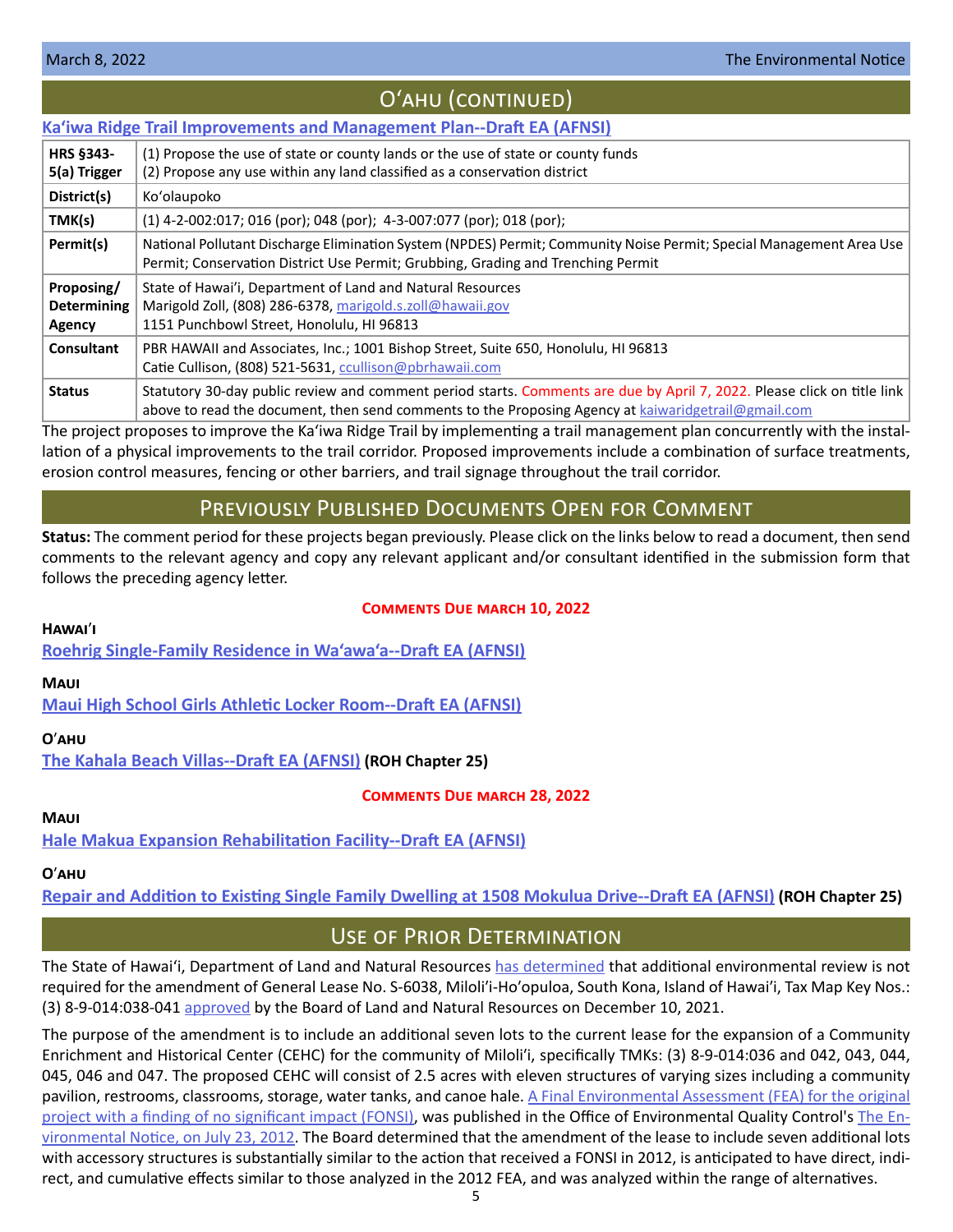# Oʻahu (continued)

### <span id="page-4-0"></span>**[Ka'iwa Ridge Trail Improvements and Management Plan--Draft EA \(AFNSI\)](https://files.hawaii.gov/dbedt/erp/Doc_Library/2022-03-08-OA-DEA-Kaiwa-Ridge-Trail-Improvements-and-Management-Plan.pdf) HRS §343- 5(a) Trigger** (1) Propose the use of state or county lands or the use of state or county funds (2) Propose any use within any land classified as a conservation district **District(s)** Ko'olaupoko **TMK(s)** (1) 4-2-002:017; 016 (por); 048 (por); 4-3-007:077 (por); 018 (por); **Permit(s)** | National Pollutant Discharge Elimination System (NPDES) Permit; Community Noise Permit; Special Management Area Use Permit; Conservation District Use Permit; Grubbing, Grading and Trenching Permit **Proposing/ Determining Agency** State of Hawai'i, Department of Land and Natural Resources Marigold Zoll, (808) 286-6378, [marigold.s.zoll@hawaii.gov](mailto:marigold.s.zoll%40hawaii.gov?subject=) 1151 Punchbowl Street, Honolulu, HI 96813 **Consultant** PBR HAWAII and Associates, Inc.; 1001 Bishop Street, Suite 650, Honolulu, HI 96813 Catie Cullison, (808) 521-5631, [ccullison@pbrhawaii.com](mailto:ccullison%40pbrhawaii.com?subject=) Status Statutory 30-day public review and comment period starts. Comments are due by April 7, 2022. Please click on title link above to read the document, then send comments to the Proposing Agency at [kaiwaridgetrail@gmail.com](mailto:kaiwaridgetrail%40gmail.com?subject=)

The project proposes to improve the Ka'iwa Ridge Trail by implementing a trail management plan concurrently with the installation of a physical improvements to the trail corridor. Proposed improvements include a combination of surface treatments, erosion control measures, fencing or other barriers, and trail signage throughout the trail corridor.

# Previously Published Documents Open for Comment

**Status:** The comment period for these projects began previously. Please click on the links below to read a document, then send comments to the relevant agency and copy any relevant applicant and/or consultant identified in the submission form that follows the preceding agency letter.

# **Hawai**ʹ**i**

# **Comments Due march 10, 2022**

**[Roehrig Single-Family Residence in Wa'awa'a--Draft EA \(AFNSI\)](https://files.hawaii.gov/dbedt/erp/Doc_Library/2022-02-08-HA-DEA-Roehrig-SFR-in-Waawaa.pdf)**

# **Maui**

**[Maui High School Girls Athletic Locker Room--Draft EA \(AFNSI\)](https://files.hawaii.gov/dbedt/erp/Doc_Library/2022-02-08-MA-DEA-Maui-High-School-Girls-Locker-Room.pdf)**

# **O**ʹ**ahu**

**[The Kahala Beach Villas--Draft EA \(AFNSI\)](https://files.hawaii.gov/dbedt/erp/Other_TEN_Publications/2022-02-08-OA-Chapter-25-DEA-Kahala-Beach-Villas.pdf) (ROH Chapter 25)**

# **Comments Due march 28, 2022**

# **Maui**

**[Hale Makua Expansion Rehabilitation Facility--Draft EA \(AFNSI\)](https://files.hawaii.gov/dbedt/erp/Doc_Library/2022-02-23-MA-DEA-Hale-Makua-Expansion-Rehabilitation-Facility.pdf)**

# **O**ʹ**ahu**

**[Repair and Addition to Existing Single Family Dwelling at 1508 Mokulua Drive--Draft EA \(AFNSI\)](https://files.hawaii.gov/dbedt/erp/Other_TEN_Publications/2022-02-23-OA-Chapter-25-DEA-Repair-and-Addition-to-Existing-SFR-1508-Mokulua-Dr.pdf) (ROH Chapter 25)**

# Use of Prior Determination

The State of Hawai'i, Department of Land and Natural Resources [has determined](https://files.hawaii.gov/dbedt/erp/Other_TEN_Publications/2022-03-08-HA-Prior-Determination-DLNR-Milolii-Community-Enrichment-and-Historical-Center.pdf) that additional environmental review is not required for the amendment of General Lease No. S-6038, Miloliʹi-Hoʹopuloa, South Kona, Island of Hawaiʹi, Tax Map Key Nos.: (3) 8-9-014:038-041 [approved](https://dlnr.hawaii.gov/wp-content/uploads/2021/12/D-5.pdf) by the Board of Land and Natural Resources on December 10, 2021.

The purpose of the amendment is to include an additional seven lots to the current lease for the expansion of a Community Enrichment and Historical Center (CEHC) for the community of Miloliʹi, specifically TMKs: (3) 8-9-014:036 and 042, 043, 044, 045, 046 and 047. The proposed CEHC will consist of 2.5 acres with eleven structures of varying sizes including a community pavilion, restrooms, classrooms, storage, water tanks, and canoe hale. [A Final Environmental Assessment \(FEA\) for the original](https://files.hawaii.gov/dbedt/erp/EA_EIS_Library/2012-07-23-HA-FEA-Milolii-Community-Enrichment-Historical-Center.pdf)  [project with a finding of no significant impact \(FONSI\),](https://files.hawaii.gov/dbedt/erp/EA_EIS_Library/2012-07-23-HA-FEA-Milolii-Community-Enrichment-Historical-Center.pdf) was published in the Office of Environmental Quality Control's [The En](https://files.hawaii.gov/dbedt/erp/The_Environmental_Notice/2012-07-23-TEN.pdf)[vironmental Notice, on July 23, 2012](https://files.hawaii.gov/dbedt/erp/The_Environmental_Notice/2012-07-23-TEN.pdf). The Board determined that the amendment of the lease to include seven additional lots with accessory structures is substantially similar to the action that received a FONSI in 2012, is anticipated to have direct, indirect, and cumulative effects similar to those analyzed in the 2012 FEA, and was analyzed within the range of alternatives.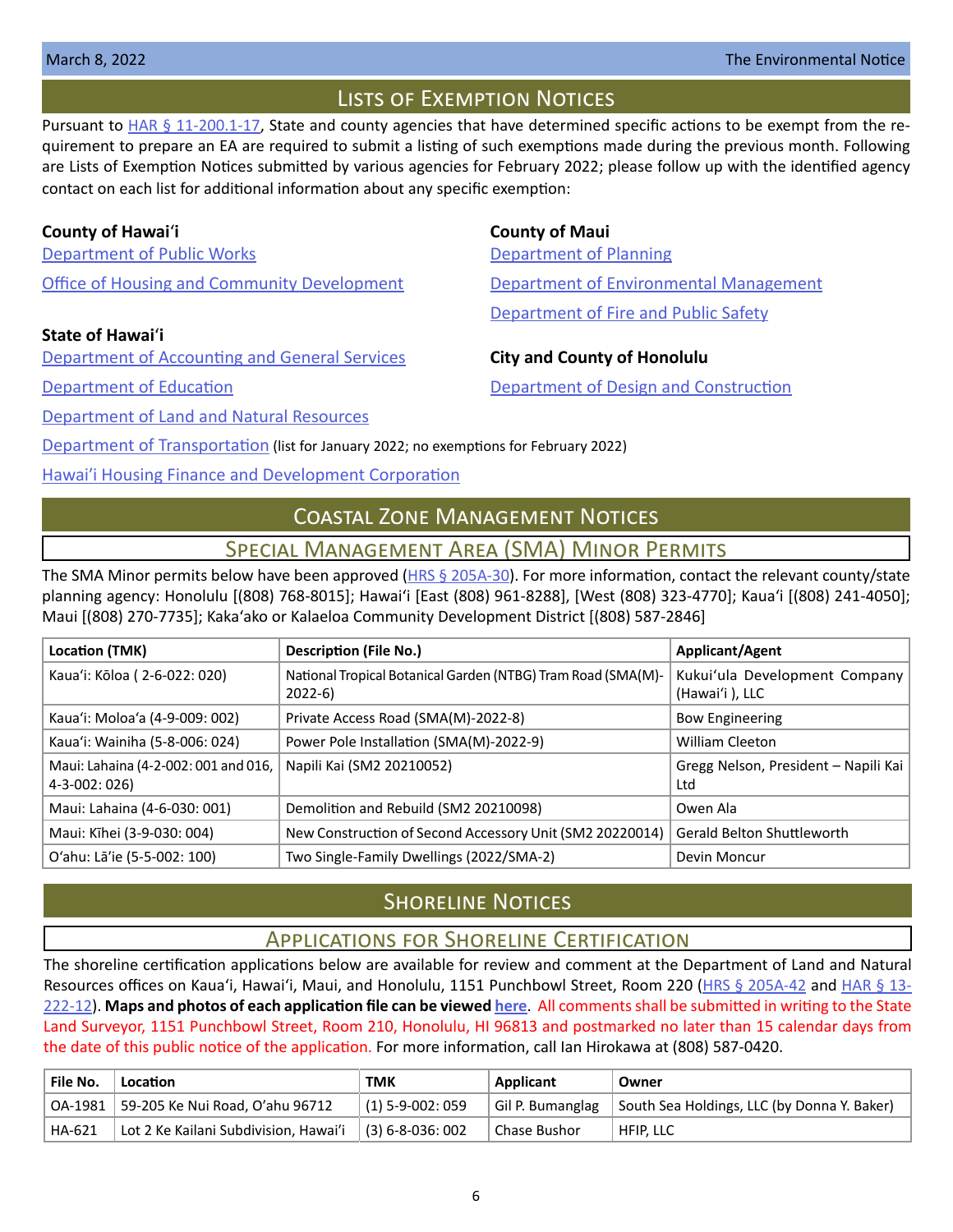# Lists of Exemption Notices

<span id="page-5-0"></span>Pursuant to  $HAR \frac{6}{9}$  11-200.1-17, State and county agencies that have determined specific actions to be exempt from the requirement to prepare an EA are required to submit a listing of such exemptions made during the previous month. Following are Lists of Exemption Notices submitted by various agencies for February [20](http://oeqc2.doh.hawaii.gov/List_Ex_Notice/2019-10-08-SOH-HHFDC-List-of-Exemptions-Sep-2019.pdf)22; please follow up with the identified agency contact on each list for additional information about any specific exemption:

# **County of Hawai**ʻ**i County of Maui**

[Department of Public Works](https://files.hawaii.gov/dbedt/erp/List_Ex_Notice/2022-03-08-COH-DPW-List-of-Exemptions-Feb-2022.pdf) **[Department of Planning](https://files.hawaii.gov/dbedt/erp/List_Ex_Notice/2022-03-08-COM-Planning-Dept-List-of-Exemptions-Feb-2022.pdf)** [Office of Housing and Community Development](https://files.hawaii.gov/dbedt/erp/List_Ex_Notice/2022-03-08-COH-OHCD-List-of-Exemptions-Feb-2022.pdf) [Department of Environmental Management](https://files.hawaii.gov/dbedt/erp/List_Ex_Notice/2022-03-08-COM-DEM-List-of-Exemptions-Feb-2022.pdf)

# **State of Hawai**ʻ**i**

[Department of Accounting and General Services](https://files.hawaii.gov/dbedt/erp/List_Ex_Notice/2022-03-08-SOH-DAGS-List-of-Exemptions-Feb-2022.pdf) **City and County of Honolulu**

[Department of Land and Natural Resources](https://files.hawaii.gov/dbedt/erp/List_Ex_Notice/2022-03-08-SOH-DLNR-List-of-Exemptions-Feb-2022.pdf)

[Department of Fire and Public Safety](https://files.hawaii.gov/dbedt/erp/List_Ex_Notice/2022-03-08-COM-DFPS-List-of-Exemptions-Feb-2022.pdf)

[Department of Education](https://files.hawaii.gov/dbedt/erp/List_Ex_Notice/2022-03-08-SOH-DOE-List-of-Exemptions-Feb-2022.pdf) [Department of Design and Construction](https://files.hawaii.gov/dbedt/erp/List_Ex_Notice/2022-03-08-CCH-DDC-List-of-Exemptions-Feb-2022.pdf)

[Department of Transportation](https://files.hawaii.gov/dbedt/erp/List_Ex_Notice/2022-03-08-SOH-DOT-List-of-Exemptions-Jan-2022.pdf) (list for January 2022; no exemptions for February 2022)

Hawai[ʹi Housing Finance and Development Corporation](https://files.hawaii.gov/dbedt/erp/List_Ex_Notice/2022-03-08-SOH-HHFDC-List-of-Exemptions-Feb-2022.pdf)

# Coastal Zone Management Notices

Special Management Area (SMA) Minor Permits

The SMA Minor permits below have been approved  $(HRS \S 205A-30)$ . For more information, contact the relevant county/state planning agency: Honolulu [(808) 768-8015]; Hawaiʻi [East (808) 961-8288], [West (808) 323-4770]; Kauaʻi [(808) 241-4050]; Maui [(808) 270-7735]; Kakaʻako or Kalaeloa Community Development District [(808) 587-2846]

| Location (TMK)                                        | <b>Description (File No.)</b>                                            | <b>Applicant/Agent</b>                          |
|-------------------------------------------------------|--------------------------------------------------------------------------|-------------------------------------------------|
| Kaua'i: Kōloa (2-6-022: 020)                          | National Tropical Botanical Garden (NTBG) Tram Road (SMA(M)-<br>$2022-6$ | Kukui'ula Development Company<br>(Hawai'i), LLC |
| Kaua'i: Moloa'a (4-9-009: 002)                        | Private Access Road (SMA(M)-2022-8)                                      | <b>Bow Engineering</b>                          |
| Kaua'i: Wainiha (5-8-006: 024)                        | Power Pole Installation (SMA(M)-2022-9)                                  | William Cleeton                                 |
| Maui: Lahaina (4-2-002: 001 and 016,<br>4-3-002: 026) | Napili Kai (SM2 20210052)                                                | Gregg Nelson, President - Napili Kai<br>Ltd     |
| Maui: Lahaina (4-6-030: 001)                          | Demolition and Rebuild (SM2 20210098)                                    | Owen Ala                                        |
| Maui: Kīhei (3-9-030: 004)                            | New Construction of Second Accessory Unit (SM2 20220014)                 | Gerald Belton Shuttleworth                      |
| O'ahu: Lā'ie (5-5-002: 100)                           | Two Single-Family Dwellings (2022/SMA-2)                                 | Devin Moncur                                    |

# **SHORELINE NOTICES**

# Applications for Shoreline Certification

The shoreline certification applications below are available for review and comment at the Department of Land and Natural Resources offices on Kaua'i, Hawai'i, Maui, and Honolulu, 1151 Punchbowl Street, Room 220 ([HRS § 205A-42](https://www.capitol.hawaii.gov/hrscurrent/Vol04_Ch0201-0257/HRS0205A/HRS_0205A-0042.htm) and [HAR § 13-](https://dlnr.hawaii.gov/ld/files/2013/07/Ch13-222-Amend-Compil-Stand-Rev1.pdf) [222-12](https://dlnr.hawaii.gov/ld/files/2013/07/Ch13-222-Amend-Compil-Stand-Rev1.pdf)). **Maps and photos of each application file can be viewed [here](https://ags.hawaii.gov/survey/shoreline/#apps)**. All comments shall be submitted in writing to the State Land Surveyor, 1151 Punchbowl Street, Room 210, Honolulu, HI 96813 and postmarked no later than 15 calendar days from the date of this public notice of the application. For more information, call Ian Hirokawa at (808) 587-0420.

| File No. | Location                                  | <b>TMK</b>       | Applicant        | Owner                                       |
|----------|-------------------------------------------|------------------|------------------|---------------------------------------------|
|          | OA-1981   59-205 Ke Nui Road, O'ahu 96712 | (1) 5-9-002: 059 | Gil P. Bumanglag | South Sea Holdings, LLC (by Donna Y. Baker) |
| HA-621   | Lot 2 Ke Kailani Subdivision, Hawai'i     | (3) 6-8-036: 002 | Chase Bushor     | HFIP. LLC                                   |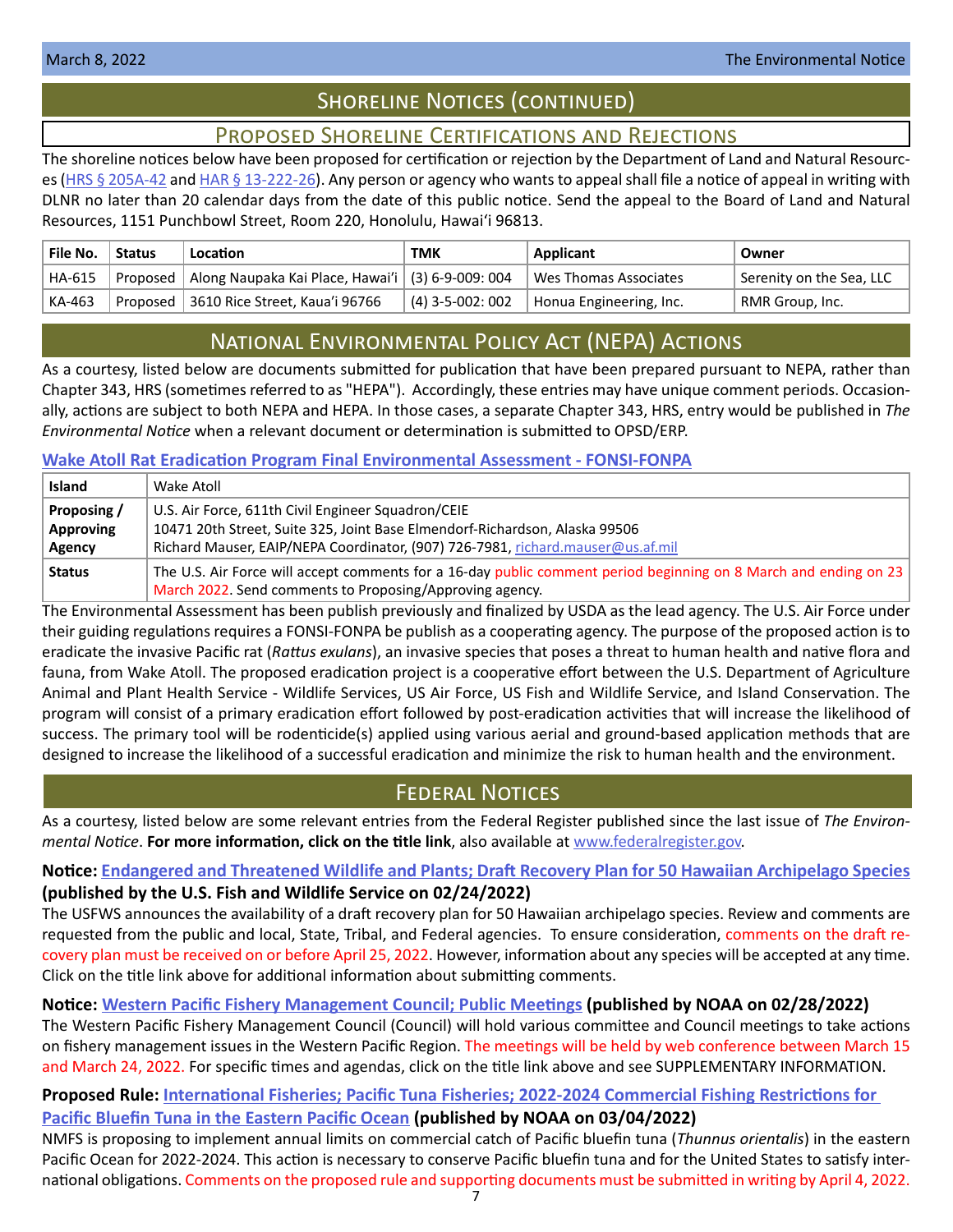# SHORELINE NOTICES (CONTINUED)

# Proposed Shoreline Certifications and Rejections

<span id="page-6-0"></span>The shoreline notices below have been proposed for certification or rejection by the Department of Land and Natural Resourc-es [\(HRS § 205A-42](http://HRS § 205A-42) and [HAR § 13-222-26\)](https://dlnr.hawaii.gov/ld/files/2013/07/Ch13-222-Amend-Compil-Stand-Rev1.pdf). Any person or agency who wants to appeal shall file a notice of appeal in writing with DLNR no later than 20 calendar days from the date of this public notice. Send the appeal to the Board of Land and Natural Resources, 1151 Punchbowl Street, Room 220, Honolulu, Hawai'i 96813.

| File No. | <b>Status</b> | Location                                                       | TMK              | Applicant               | Owner                    |
|----------|---------------|----------------------------------------------------------------|------------------|-------------------------|--------------------------|
| HA-615   |               | Proposed   Along Naupaka Kai Place, Hawai'i   (3) 6-9-009: 004 |                  | Wes Thomas Associates   | Serenity on the Sea, LLC |
| KA-463   |               | Proposed   3610 Rice Street, Kaua'i 96766                      | (4) 3-5-002: 002 | Honua Engineering, Inc. | RMR Group, Inc.          |

# National Environmental Policy Act (NEPA) Actions

As a courtesy, listed below are documents submitted for publication that have been prepared pursuant to NEPA, rather than Chapter 343, HRS (sometimes referred to as "HEPA"). Accordingly, these entries may have unique comment periods. Occasionally, actions are subject to both NEPA and HEPA. In those cases, a separate Chapter 343, HRS, entry would be published in *The Environmental Notice* when a relevant document or determination is submitted to OPSD/ERP.

# **[Wake Atoll Rat Eradication Program Final Environmental Assessment - FONSI-FONPA](https://files.hawaii.gov/dbedt/erp/Other_TEN_Publications/2022-03-08-NEPA-FONSI-FONPA-FEA-Wake-Atoll-Rat-Eradication-Program.pdf)**

| <b>Island</b> | Wake Atoll                                                                                                       |  |
|---------------|------------------------------------------------------------------------------------------------------------------|--|
| Proposing /   | U.S. Air Force, 611th Civil Engineer Squadron/CEIE                                                               |  |
| Approving     | 10471 20th Street, Suite 325, Joint Base Elmendorf-Richardson, Alaska 99506                                      |  |
| Agency        | Richard Mauser, EAIP/NEPA Coordinator, (907) 726-7981, richard.mauser@us.af.mil                                  |  |
| <b>Status</b> | The U.S. Air Force will accept comments for a 16-day public comment period beginning on 8 March and ending on 23 |  |
|               | March 2022. Send comments to Proposing/Approving agency.                                                         |  |

The Environmental Assessment has been publish previously and finalized by USDA as the lead agency. The U.S. Air Force under their guiding regulations requires a FONSI-FONPA be publish as a cooperating agency. The purpose of the proposed action is to eradicate the invasive Pacific rat (*Rattus exulans*), an invasive species that poses a threat to human health and native flora and fauna, from Wake Atoll. The proposed eradication project is a cooperative effort between the U.S. Department of Agriculture Animal and Plant Health Service - Wildlife Services, US Air Force, US Fish and Wildlife Service, and Island Conservation. The program will consist of a primary eradication effort followed by post-eradication activities that will increase the likelihood of success. The primary tool will be rodenticide(s) applied using various aerial and ground-based application methods that are designed to increase the likelihood of a successful eradication and minimize the risk to human health and the environment.

# Federal Notices

As a courtesy, listed below are some relevant entries from the Federal Register published since the last issue of *The Environmental Notice*. **For more information, click on the title link**, also available at [www.federalregister.gov](http://www.federalregister.gov).

**Notice: [Endangered and Threatened Wildlife and Plants; Draft Recovery Plan for 50 Hawaiian Archipelago Species](https://www.federalregister.gov/documents/2022/02/24/2022-03614/endangered-and-threatened-wildlife-and-plants-draft-recovery-plan-for-50-hawaiian-archipelago) (published by the U.S. Fish and Wildlife Service on 02/24/2022)**

The USFWS announces the availability of a draft recovery plan for 50 Hawaiian archipelago species. Review and comments are requested from the public and local, State, Tribal, and Federal agencies. To ensure consideration, comments on the draft recovery plan must be received on or before April 25, 2022. However, information about any species will be accepted at any time. Click on the title link above for additional information about submitting comments.

**Notice: [Western Pacific Fishery Management Council; Public Meetings](https://www.federalregister.gov/documents/2022/02/28/2022-04137/western-pacific-fishery-management-council-public-meetings) (published by NOAA on 02/28/2022)** The Western Pacific Fishery Management Council (Council) will hold various committee and Council meetings to take actions on fishery management issues in the Western Pacific Region. The meetings will be held by web conference between March 15

and March 24, 2022. For specific times and agendas, click on the title link above and see SUPPLEMENTARY INFORMATION.

# **Proposed Rule: [International Fisheries; Pacific Tuna Fisheries; 2022-2024 Commercial Fishing Restrictions for](https://www.federalregister.gov/documents/2022/03/04/2022-04434/international-fisheries-pacific-tuna-fisheries-2022-2024-commercial-fishing-restrictions-for-pacific)**

**[Pacific Bluefin Tuna in the Eastern Pacific Ocean](https://www.federalregister.gov/documents/2022/03/04/2022-04434/international-fisheries-pacific-tuna-fisheries-2022-2024-commercial-fishing-restrictions-for-pacific) (published by NOAA on 03/04/2022)**

NMFS is proposing to implement annual limits on commercial catch of Pacific bluefin tuna (*Thunnus orientalis*) in the eastern Pacific Ocean for 2022-2024. This action is necessary to conserve Pacific bluefin tuna and for the United States to satisfy international obligations. Comments on the proposed rule and supporting documents must be submitted in writing by April 4, 2022.